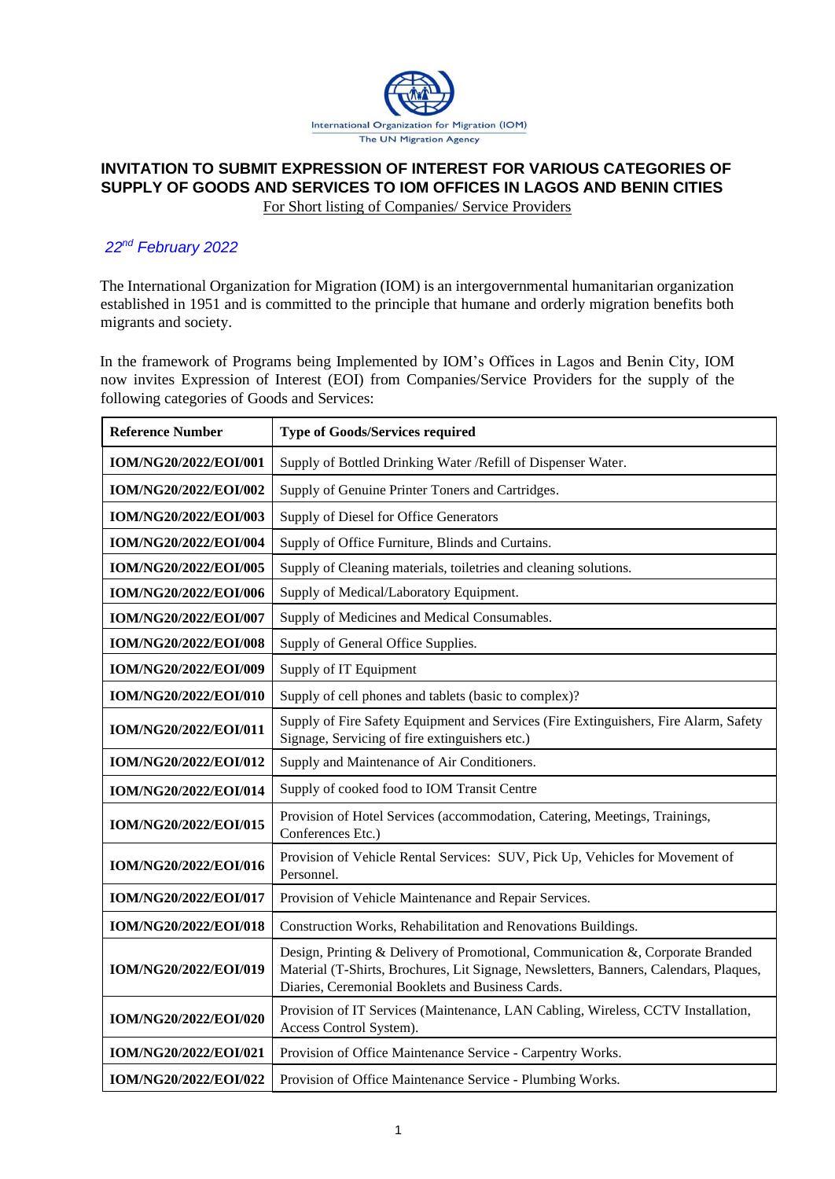

# **INVITATION TO SUBMIT EXPRESSION OF INTEREST FOR VARIOUS CATEGORIES OF SUPPLY OF GOODS AND SERVICES TO IOM OFFICES IN LAGOS AND BENIN CITIES** For Short listing of Companies/ Service Providers

# *22nd February 2022*

The International Organization for Migration (IOM) is an intergovernmental humanitarian organization established in 1951 and is committed to the principle that humane and orderly migration benefits both migrants and society.

In the framework of Programs being Implemented by IOM's Offices in Lagos and Benin City*,* IOM now invites Expression of Interest (EOI) from Companies/Service Providers for the supply of the following categories of Goods and Services:

| <b>Reference Number</b> | <b>Type of Goods/Services required</b>                                                                                                                                                                                      |  |  |
|-------------------------|-----------------------------------------------------------------------------------------------------------------------------------------------------------------------------------------------------------------------------|--|--|
| IOM/NG20/2022/EOI/001   | Supply of Bottled Drinking Water / Refill of Dispenser Water.                                                                                                                                                               |  |  |
| IOM/NG20/2022/EOI/002   | Supply of Genuine Printer Toners and Cartridges.                                                                                                                                                                            |  |  |
| IOM/NG20/2022/EOI/003   | Supply of Diesel for Office Generators                                                                                                                                                                                      |  |  |
| IOM/NG20/2022/EOI/004   | Supply of Office Furniture, Blinds and Curtains.                                                                                                                                                                            |  |  |
| IOM/NG20/2022/EOI/005   | Supply of Cleaning materials, toiletries and cleaning solutions.                                                                                                                                                            |  |  |
| IOM/NG20/2022/EOI/006   | Supply of Medical/Laboratory Equipment.                                                                                                                                                                                     |  |  |
| IOM/NG20/2022/EOI/007   | Supply of Medicines and Medical Consumables.                                                                                                                                                                                |  |  |
| IOM/NG20/2022/EOI/008   | Supply of General Office Supplies.                                                                                                                                                                                          |  |  |
| IOM/NG20/2022/EOI/009   | Supply of IT Equipment                                                                                                                                                                                                      |  |  |
| IOM/NG20/2022/EOI/010   | Supply of cell phones and tablets (basic to complex)?                                                                                                                                                                       |  |  |
| IOM/NG20/2022/EOI/011   | Supply of Fire Safety Equipment and Services (Fire Extinguishers, Fire Alarm, Safety<br>Signage, Servicing of fire extinguishers etc.)                                                                                      |  |  |
| IOM/NG20/2022/EOI/012   | Supply and Maintenance of Air Conditioners.                                                                                                                                                                                 |  |  |
| IOM/NG20/2022/EOI/014   | Supply of cooked food to IOM Transit Centre                                                                                                                                                                                 |  |  |
| IOM/NG20/2022/EOI/015   | Provision of Hotel Services (accommodation, Catering, Meetings, Trainings,<br>Conferences Etc.)                                                                                                                             |  |  |
| IOM/NG20/2022/EOI/016   | Provision of Vehicle Rental Services: SUV, Pick Up, Vehicles for Movement of<br>Personnel.                                                                                                                                  |  |  |
| IOM/NG20/2022/EOI/017   | Provision of Vehicle Maintenance and Repair Services.                                                                                                                                                                       |  |  |
| IOM/NG20/2022/EOI/018   | Construction Works, Rehabilitation and Renovations Buildings.                                                                                                                                                               |  |  |
| IOM/NG20/2022/EOI/019   | Design, Printing & Delivery of Promotional, Communication &, Corporate Branded<br>Material (T-Shirts, Brochures, Lit Signage, Newsletters, Banners, Calendars, Plaques,<br>Diaries, Ceremonial Booklets and Business Cards. |  |  |
| IOM/NG20/2022/EOI/020   | Provision of IT Services (Maintenance, LAN Cabling, Wireless, CCTV Installation,<br>Access Control System).                                                                                                                 |  |  |
| IOM/NG20/2022/EOI/021   | Provision of Office Maintenance Service - Carpentry Works.                                                                                                                                                                  |  |  |
| IOM/NG20/2022/EOI/022   | Provision of Office Maintenance Service - Plumbing Works.                                                                                                                                                                   |  |  |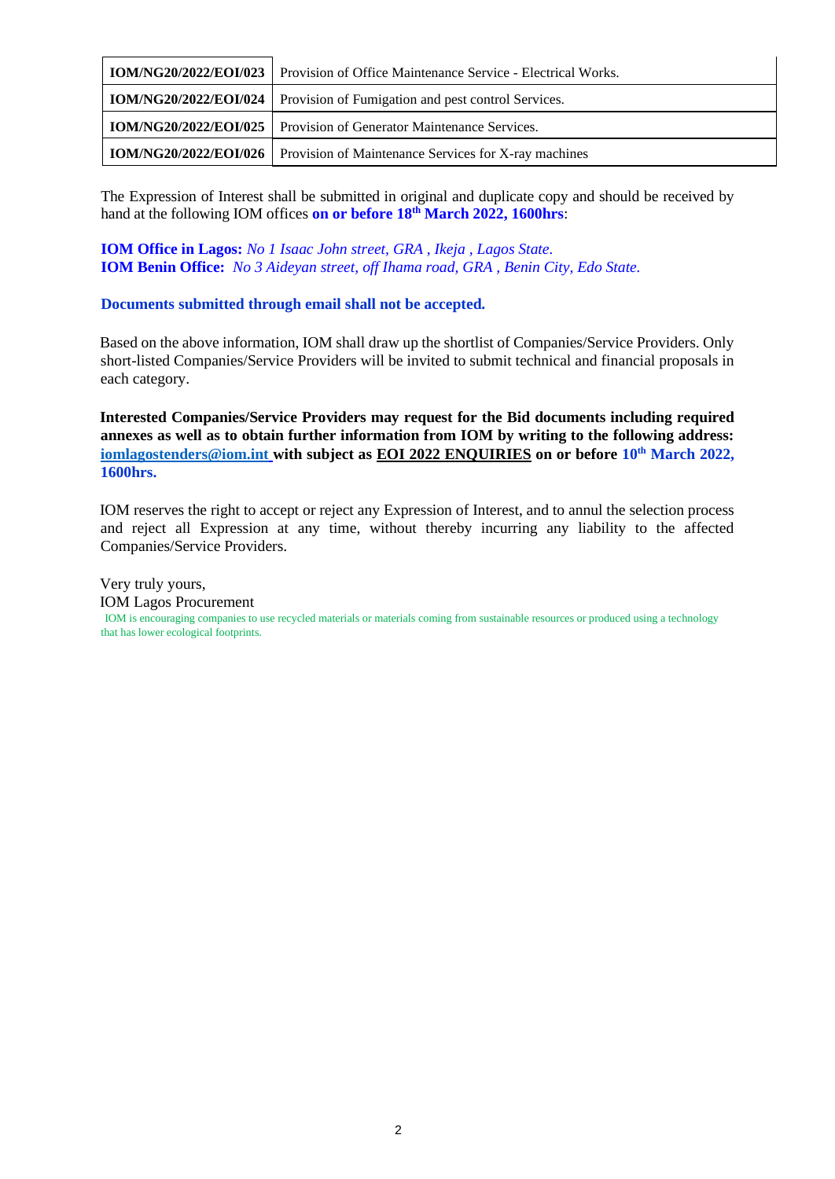| <b>IOM/NG20/2022/EOI/023</b> Provision of Office Maintenance Service - Electrical Works. |
|------------------------------------------------------------------------------------------|
| IOM/NG20/2022/EOI/024   Provision of Fumigation and pest control Services.               |
| <b>IOM/NG20/2022/EOI/025</b> Provision of Generator Maintenance Services.                |
| <b>IOM/NG20/2022/EOI/026</b> Provision of Maintenance Services for X-ray machines        |

The Expression of Interest shall be submitted in original and duplicate copy and should be received by hand at the following IOM offices **on or before 18th March 2022, 1600hrs**:

**IOM Office in Lagos:** *No 1 Isaac John street, GRA , Ikeja , Lagos State.* **IOM Benin Office:** *No 3 Aideyan street, off Ihama road, GRA , Benin City, Edo State.*

#### **Documents submitted through email shall not be accepted.**

Based on the above information, IOM shall draw up the shortlist of Companies/Service Providers. Only short-listed Companies/Service Providers will be invited to submit technical and financial proposals in each category.

**Interested Companies/Service Providers may request for the Bid documents including required annexes as well as to obtain further information from IOM by writing to the following address: [iomlagostenders@iom.int](mailto:iomlagostenders@iom.int) with subject as EOI 2022 ENQUIRIES on or before 10th March 2022, 1600hrs.**

IOM reserves the right to accept or reject any Expression of Interest, and to annul the selection process and reject all Expression at any time, without thereby incurring any liability to the affected Companies/Service Providers.

Very truly yours, IOM Lagos Procurement IOM is encouraging companies to use recycled materials or materials coming from sustainable resources or produced using a technology that has lower ecological footprints.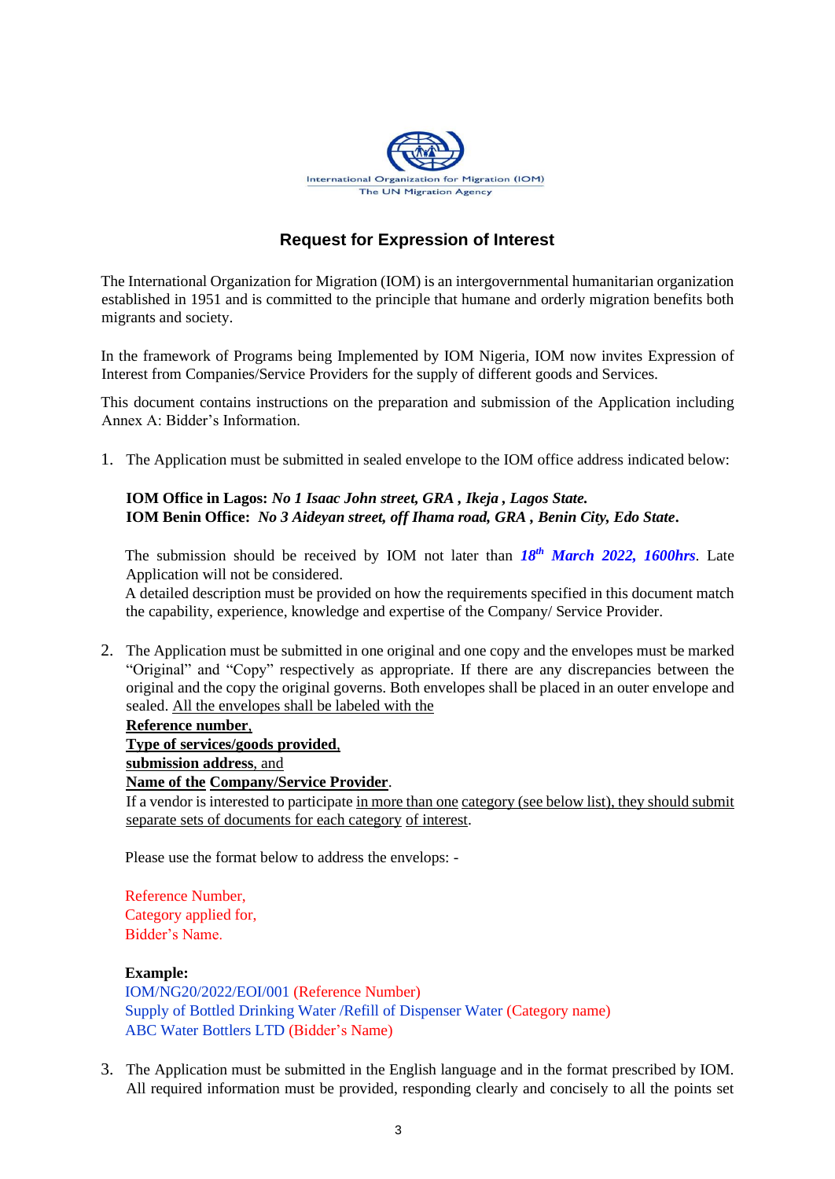

# **Request for Expression of Interest**

The International Organization for Migration (IOM) is an intergovernmental humanitarian organization established in 1951 and is committed to the principle that humane and orderly migration benefits both migrants and society.

In the framework of Programs being Implemented by IOM Nigeria*,* IOM now invites Expression of Interest from Companies/Service Providers for the supply of different goods and Services.

This document contains instructions on the preparation and submission of the Application including Annex A: Bidder's Information.

1. The Application must be submitted in sealed envelope to the IOM office address indicated below:

**IOM Office in Lagos:** *No 1 Isaac John street, GRA , Ikeja , Lagos State.* **IOM Benin Office:** *No 3 Aideyan street, off Ihama road, GRA , Benin City, Edo State***.** 

The submission should be received by IOM not later than *18th March 2022, 1600hrs*. Late Application will not be considered.

A detailed description must be provided on how the requirements specified in this document match the capability, experience, knowledge and expertise of the Company/ Service Provider.

2. The Application must be submitted in one original and one copy and the envelopes must be marked "Original" and "Copy" respectively as appropriate. If there are any discrepancies between the original and the copy the original governs. Both envelopes shall be placed in an outer envelope and sealed. All the envelopes shall be labeled with the

#### **Reference number**,

**Type of services/goods provided**,

**submission address**, and

**Name of the Company/Service Provider**.

If a vendor is interested to participate in more than one category (see below list), they should submit separate sets of documents for each category of interest.

Please use the format below to address the envelops: -

Reference Number, Category applied for, Bidder's Name.

#### **Example:**

IOM/NG20/2022/EOI/001 (Reference Number) Supply of Bottled Drinking Water /Refill of Dispenser Water (Category name) ABC Water Bottlers LTD (Bidder's Name)

3. The Application must be submitted in the English language and in the format prescribed by IOM. All required information must be provided, responding clearly and concisely to all the points set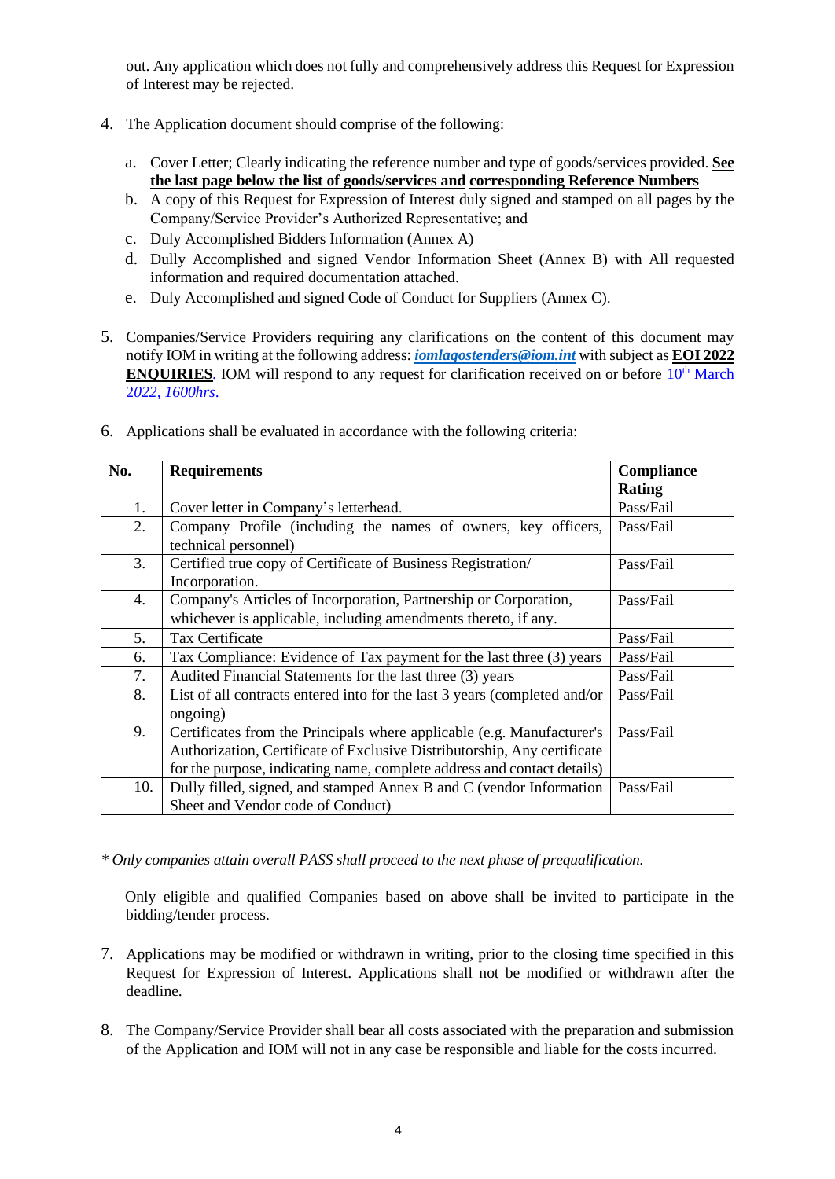out. Any application which does not fully and comprehensively address this Request for Expression of Interest may be rejected.

- 4. The Application document should comprise of the following:
	- a. Cover Letter; Clearly indicating the reference number and type of goods/services provided. **See the last page below the list of goods/services and corresponding Reference Numbers**
	- b. A copy of this Request for Expression of Interest duly signed and stamped on all pages by the Company/Service Provider's Authorized Representative; and
	- c. Duly Accomplished Bidders Information (Annex A)
	- d. Dully Accomplished and signed Vendor Information Sheet (Annex B) with All requested information and required documentation attached.
	- e. Duly Accomplished and signed Code of Conduct for Suppliers (Annex C).
- 5. Companies/Service Providers requiring any clarifications on the content of this document may notify IOM in writing at the following address: *[iomlagostenders@iom.int](mailto:iomlagostenders@iom.int)* with subject as **EOI 2022 ENQUIRIES***.* IOM will respond to any request for clarification received on or before  $10^{th}$  March 2*022, 1600hrs*.

| No. | <b>Requirements</b>                                                       | <b>Compliance</b> |
|-----|---------------------------------------------------------------------------|-------------------|
|     |                                                                           | <b>Rating</b>     |
| 1.  | Cover letter in Company's letterhead.                                     | Pass/Fail         |
| 2.  | Company Profile (including the names of owners, key officers,             | Pass/Fail         |
|     | technical personnel)                                                      |                   |
| 3.  | Certified true copy of Certificate of Business Registration/              | Pass/Fail         |
|     | Incorporation.                                                            |                   |
| 4.  | Company's Articles of Incorporation, Partnership or Corporation,          | Pass/Fail         |
|     | whichever is applicable, including amendments thereto, if any.            |                   |
| 5.  | Tax Certificate                                                           | Pass/Fail         |
| 6.  | Tax Compliance: Evidence of Tax payment for the last three (3) years      | Pass/Fail         |
| 7.  | Audited Financial Statements for the last three (3) years                 | Pass/Fail         |
| 8.  | List of all contracts entered into for the last 3 years (completed and/or | Pass/Fail         |
|     | ongoing)                                                                  |                   |
| 9.  | Certificates from the Principals where applicable (e.g. Manufacturer's    | Pass/Fail         |
|     | Authorization, Certificate of Exclusive Distributorship, Any certificate  |                   |
|     | for the purpose, indicating name, complete address and contact details)   |                   |
| 10. | Dully filled, signed, and stamped Annex B and C (vendor Information       | Pass/Fail         |
|     | Sheet and Vendor code of Conduct)                                         |                   |

6. Applications shall be evaluated in accordance with the following criteria:

*\* Only companies attain overall PASS shall proceed to the next phase of prequalification.*

Only eligible and qualified Companies based on above shall be invited to participate in the bidding/tender process.

- 7. Applications may be modified or withdrawn in writing, prior to the closing time specified in this Request for Expression of Interest. Applications shall not be modified or withdrawn after the deadline.
- 8. The Company/Service Provider shall bear all costs associated with the preparation and submission of the Application and IOM will not in any case be responsible and liable for the costs incurred.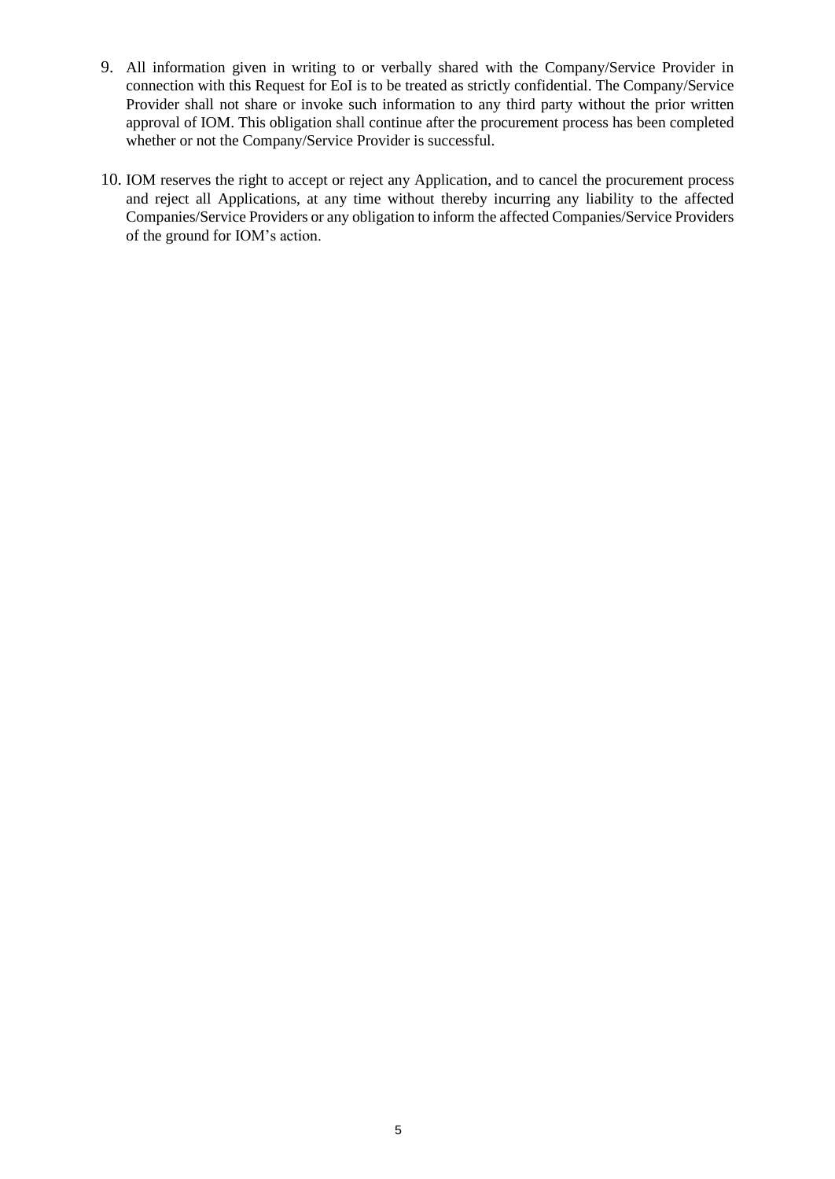- 9. All information given in writing to or verbally shared with the Company/Service Provider in connection with this Request for EoI is to be treated as strictly confidential. The Company/Service Provider shall not share or invoke such information to any third party without the prior written approval of IOM. This obligation shall continue after the procurement process has been completed whether or not the Company/Service Provider is successful.
- 10. IOM reserves the right to accept or reject any Application, and to cancel the procurement process and reject all Applications, at any time without thereby incurring any liability to the affected Companies/Service Providers or any obligation to inform the affected Companies/Service Providers of the ground for IOM's action.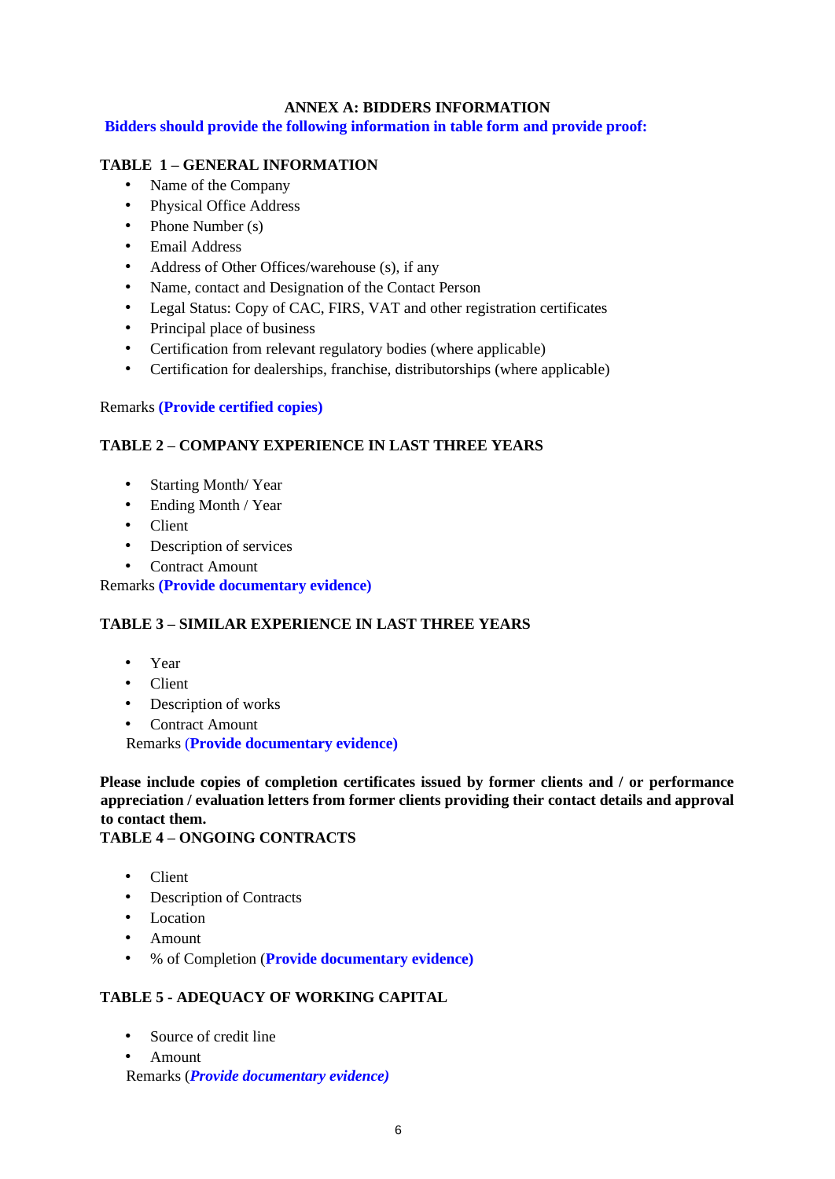# **ANNEX A: BIDDERS INFORMATION**

**Bidders should provide the following information in table form and provide proof:**

### **TABLE 1 – GENERAL INFORMATION**

- Name of the Company
- Physical Office Address
- Phone Number (s)
- Email Address
- Address of Other Offices/warehouse (s), if any
- Name, contact and Designation of the Contact Person
- Legal Status: Copy of CAC, FIRS, VAT and other registration certificates
- Principal place of business
- Certification from relevant regulatory bodies (where applicable)
- Certification for dealerships, franchise, distributorships (where applicable)

#### Remarks **(Provide certified copies)**

### **TABLE 2 – COMPANY EXPERIENCE IN LAST THREE YEARS**

- Starting Month/ Year
- Ending Month / Year
- Client
- Description of services
- Contract Amount

Remarks **(Provide documentary evidence)**

# **TABLE 3 – SIMILAR EXPERIENCE IN LAST THREE YEARS**

- Year
- Client
- Description of works
- Contract Amount

Remarks (**Provide documentary evidence)**

**Please include copies of completion certificates issued by former clients and / or performance appreciation / evaluation letters from former clients providing their contact details and approval to contact them.** 

#### **TABLE 4 – ONGOING CONTRACTS**

- Client
- Description of Contracts
- Location
- Amount
- % of Completion (**Provide documentary evidence)**

#### **TABLE 5 - ADEQUACY OF WORKING CAPITAL**

- Source of credit line
- Amount
- Remarks (*Provide documentary evidence)*